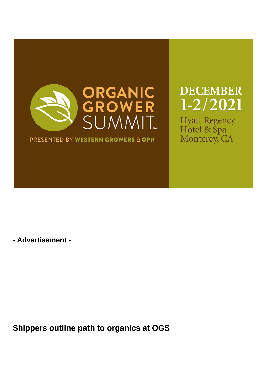

PRESENTED BY WESTERN GROWERS & OPN

**DECEMBER**  $1 - 2/2021$ 

Hyatt Regency<br>Hotel & Spa Monterey, CA

**- Advertisement -**

**Shippers outline path to organics at OGS**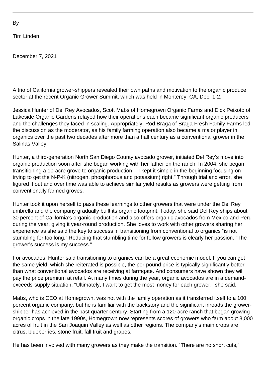Tim Linden

December 7, 2021

A trio of California grower-shippers revealed their own paths and motivation to the organic produce sector at the recent Organic Grower Summit, which was held in Monterey, CA, Dec. 1-2.

Jessica Hunter of Del Rey Avocados, Scott Mabs of Homegrown Organic Farms and Dick Peixoto of Lakeside Organic Gardens relayed how their operations each became significant organic producers and the challenges they faced in scaling. Appropriately, Rod Braga of Braga Fresh Family Farms led the discussion as the moderator, as his family farming operation also became a major player in organics over the past two decades after more than a half century as a conventional grower in the Salinas Valley.

Hunter, a third-generation North San Diego County avocado grower, initiated Del Rey's move into organic production soon after she began working with her father on the ranch. In 2004, she began transitioning a 10-acre grove to organic production. "I kept it simple in the beginning focusing on trying to get the N-P-K (nitrogen, phosphorous and potassium) right." Through trial and error, she figured it out and over time was able to achieve similar yield results as growers were getting from conventionally farmed groves.

Hunter took it upon herself to pass these learnings to other growers that were under the Del Rey umbrella and the company gradually built its organic footprint. Today, she said Del Rey ships about 30 percent of California's organic production and also offers organic avocados from Mexico and Peru during the year, giving it year-round production. She loves to work with other growers sharing her experience as she said the key to success in transitioning from conventional to organics "is not stumbling for too long." Reducing that stumbling time for fellow growers is clearly her passion. "The grower's success is my success."

For avocados, Hunter said transitioning to organics can be a great economic model. If you can get the same yield, which she reiterated is possible, the per-pound price is typically significantly better than what conventional avocados are receiving at farmgate. And consumers have shown they will pay the price premium at retail. At many times during the year, organic avocados are in a demandexceeds-supply situation. "Ultimately, I want to get the most money for each grower," she said.

Mabs, who is CEO at Homegrown, was not with the family operation as it transferred itself to a 100 percent organic company, but he is familiar with the backstory and the significant inroads the growershipper has achieved in the past quarter century. Starting from a 120-acre ranch that began growing organic crops in the late 1990s, Homegrown now represents scores of growers who farm about 8,000 acres of fruit in the San Joaquin Valley as well as other regions. The company's main crops are citrus, blueberries, stone fruit, fall fruit and grapes.

He has been involved with many growers as they make the transition. "There are no short cuts,"

By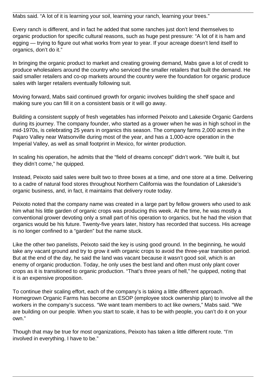Mabs said. "A lot of it is learning your soil, learning your ranch, learning your trees."

Every ranch is different, and in fact he added that some ranches just don't lend themselves to organic production for specific cultural reasons, such as huge pest pressure: "A lot of it is ham and egging — trying to figure out what works from year to year. If your acreage doesn't lend itself to organics, don't do it."

In bringing the organic product to market and creating growing demand, Mabs gave a lot of credit to produce wholesalers around the country who serviced the smaller retailers that built the demand. He said smaller retailers and co-op markets around the country were the foundation for organic produce sales with larger retailers eventually following suit.

Moving forward, Mabs said continued growth for organic involves building the shelf space and making sure you can fill it on a consistent basis or it will go away.

Building a consistent supply of fresh vegetables has informed Peixoto and Lakeside Organic Gardens during its journey. The company founder, who started as a grower when he was in high school in the mid-1970s, is celebrating 25 years in organics this season. The company farms 2,000 acres in the Pajaro Valley near Watsonville during most of the year, and has a 1,000-acre operation in the Imperial Valley, as well as small footprint in Mexico, for winter production.

In scaling his operation, he admits that the "field of dreams concept" didn't work. "We built it, but they didn't come," he quipped.

Instead, Peixoto said sales were built two to three boxes at a time, and one store at a time. Delivering to a cadre of natural food stores throughout Northern California was the foundation of Lakeside's organic business, and, in fact, it maintains that delivery route today.

Peixoto noted that the company name was created in a large part by fellow growers who used to ask him what his little garden of organic crops was producing this week. At the time, he was mostly a conventional grower devoting only a small part of his operation to organics, but he had the vision that organics would be his future. Twenty-five years later, history has recorded that success. His acreage is no longer confined to a "garden" but the name stuck.

Like the other two panelists, Peixoto said the key is using good ground. In the beginning, he would take any vacant ground and try to grow it with organic crops to avoid the three-year transition period. But at the end of the day, he said the land was vacant because it wasn't good soil, which is an enemy of organic production. Today, he only uses the best land and often must only plant cover crops as it is transitioned to organic production. "That's three years of hell," he quipped, noting that it is an expensive proposition.

To continue their scaling effort, each of the company's is taking a little different approach. Homegrown Organic Farms has become an ESOP (employee stock ownership plan) to involve all the workers in the company's success. "We want team members to act like owners," Mabs said. "We are building on our people. When you start to scale, it has to be with people, you can't do it on your own."

Though that may be true for most organizations, Peixoto has taken a little different route. "I'm involved in everything. I have to be."